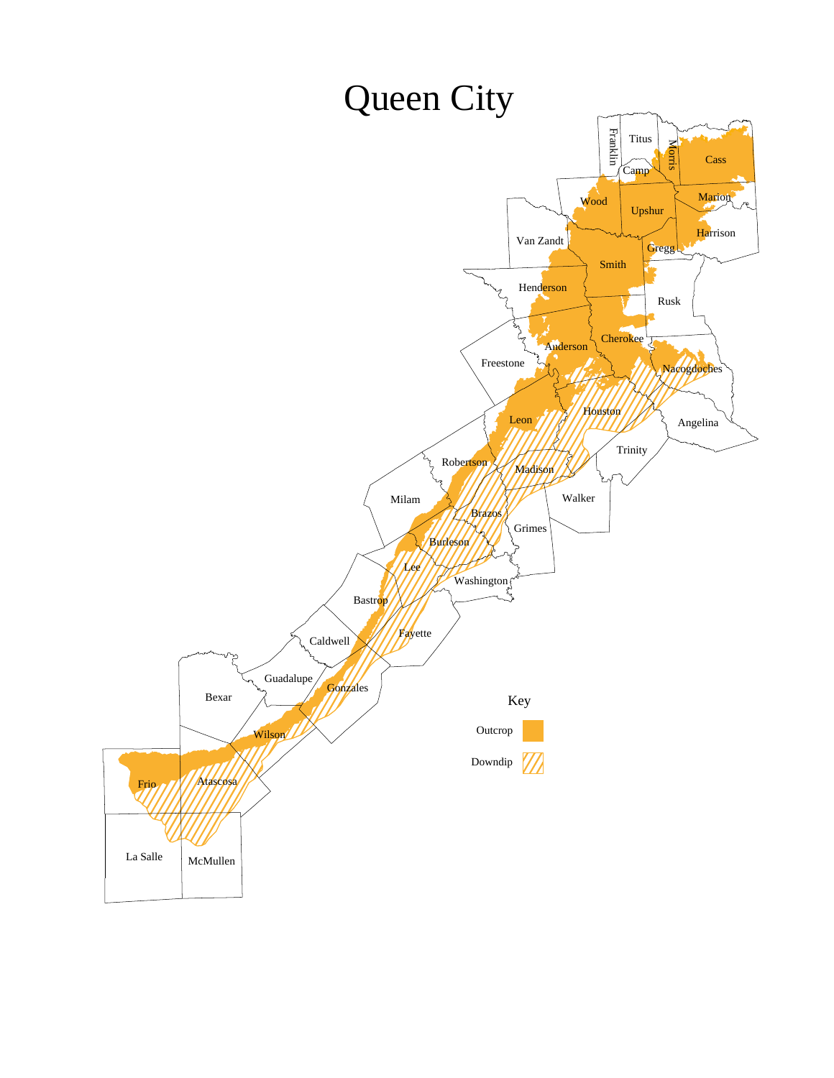